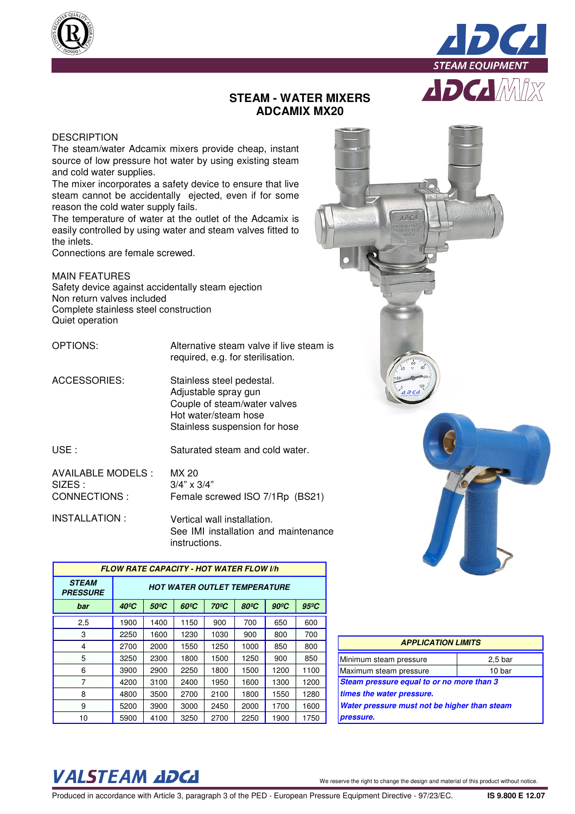



## **STEAM - WATER MIXERS ADCAMIX MX20**

## **DESCRIPTION**

The steam/water Adcamix mixers provide cheap, instant source of low pressure hot water by using existing steam and cold water supplies.

The mixer incorporates a safety device to ensure that live steam cannot be accidentally ejected, even if for some reason the cold water supply fails.

The temperature of water at the outlet of the Adcamix is easily controlled by using water and steam valves fitted to the inlets.

Connections are female screwed.

MAIN FEATURES Safety device against accidentally steam ejection Non return valves included Complete stainless steel construction Quiet operation

OPTIONS: Alternative steam valve if live steam is required, e.g. for sterilisation.

ACCESSORIES: Stainless steel pedestal. Adjustable spray gun Couple of steam/water valves Hot water/steam hose Stainless suspension for hose

USE : Saturated steam and cold water.

| AVAILABLE MODELS : | MX 20                           |  |
|--------------------|---------------------------------|--|
| SIZES :            | $3/4" \times 3/4"$              |  |
| CONNECTIONS :      | Female screwed ISO 7/1Rp (BS21) |  |

INSTALLATION : Vertical wall installation. See IMI installation and maintenance instructions.

| <b>FLOW RATE CAPACITY - HOT WATER FLOW I/h</b> |                                     |                   |                   |                   |                   |                |                |
|------------------------------------------------|-------------------------------------|-------------------|-------------------|-------------------|-------------------|----------------|----------------|
| <b>STEAM</b><br><b>PRESSURE</b>                | <b>HOT WATER OUTLET TEMPERATURE</b> |                   |                   |                   |                   |                |                |
| bar                                            | $40^{\circ}$ C                      | 50 <sup>o</sup> C | 60 <sup>o</sup> C | 70 <sup>o</sup> C | 80 <sup>o</sup> C | $90^{\circ}$ C | $95^{\circ}$ C |
| 2,5                                            | 1900                                | 1400              | 1150              | 900               | 700               | 650            | 600            |
| з                                              | 2250                                | 1600              | 1230              | 1030              | 900               | 800            | 700            |
| 4                                              | 2700                                | 2000              | 1550              | 1250              | 1000              | 850            | 800            |
| 5                                              | 3250                                | 2300              | 1800              | 1500              | 1250              | 900            | 850            |
| 6                                              | 3900                                | 2900              | 2250              | 1800              | 1500              | 1200           | 1100           |
| 7                                              | 4200                                | 3100              | 2400              | 1950              | 1600              | 1300           | 1200           |
| 8                                              | 4800                                | 3500              | 2700              | 2100              | 1800              | 1550           | 1280           |
| 9                                              | 5200                                | 3900              | 3000              | 2450              | 2000              | 1700           | 1600           |
| 10                                             | 5900                                | 4100              | 3250              | 2700              | 2250              | 1900           | 1750           |



## VALSTEAM ADCA We reserve the right to change the design and material of this product without notice

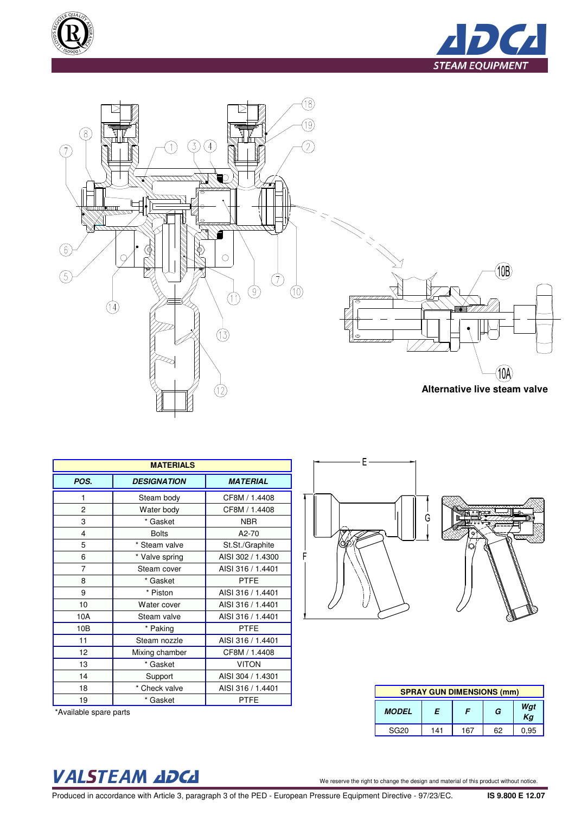





| <b>MATERIALS</b> |                    |                   |  |  |  |
|------------------|--------------------|-------------------|--|--|--|
| POS.             | <b>DESIGNATION</b> | <b>MATERIAL</b>   |  |  |  |
| 1                | Steam body         | CF8M / 1.4408     |  |  |  |
| $\overline{2}$   | Water body         | CF8M / 1.4408     |  |  |  |
| 3                | * Gasket           | <b>NBR</b>        |  |  |  |
| 4                | <b>Bolts</b>       | A2-70             |  |  |  |
| 5                | * Steam valve      | St.St./Graphite   |  |  |  |
| $6\phantom{a}$   | * Valve spring     | AISI 302 / 1.4300 |  |  |  |
| $\overline{7}$   | Steam cover        | AISI 316 / 1.4401 |  |  |  |
| 8                | * Gasket           | <b>PTFE</b>       |  |  |  |
| 9                | * Piston           | AISI 316 / 1.4401 |  |  |  |
| 10               | Water cover        | AISI 316 / 1.4401 |  |  |  |
| 10A              | Steam valve        | AISI 316 / 1.4401 |  |  |  |
| 10 <sub>B</sub>  | * Paking           | <b>PTFE</b>       |  |  |  |
| 11               | Steam nozzle       | AISI 316 / 1.4401 |  |  |  |
| 12               | Mixing chamber     | CF8M / 1.4408     |  |  |  |
| 13               | * Gasket           | <b>VITON</b>      |  |  |  |
| 14               | Support            | AISI 304 / 1.4301 |  |  |  |
| 18               | * Check valve      | AISI 316 / 1.4401 |  |  |  |
| 19               | * Gasket           | <b>PTFE</b>       |  |  |  |

\*Available spare parts



E

| ********<br>٠ |
|---------------|
|               |
|               |
|               |
|               |
|               |
|               |
|               |
|               |

| <b>SPRAY GUN DIMENSIONS (mm)</b> |     |     |    |           |
|----------------------------------|-----|-----|----|-----------|
| F<br><b>MODEL</b>                |     | F   | G  | Wgt<br>Kg |
| <b>SG20</b>                      | 141 | 167 | 62 | 0,95      |

## VALSTEAM ADCA We reserve the right to change the design and material of this product without notice